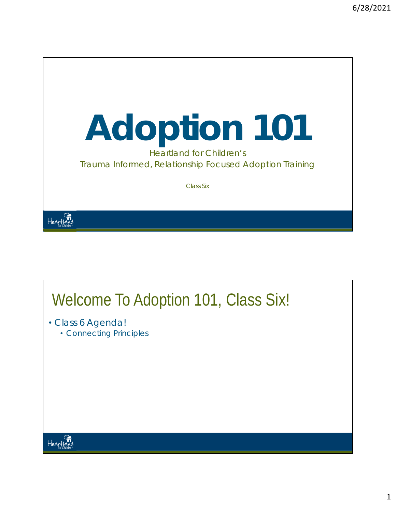

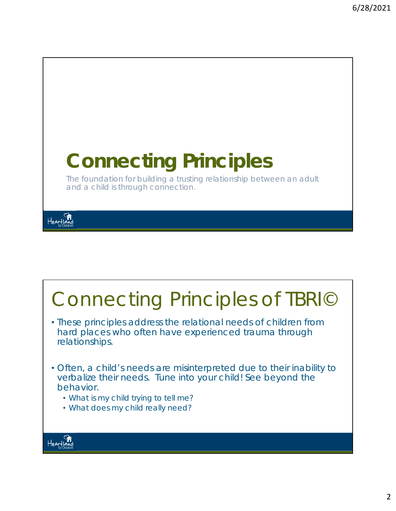

#### Connecting Principles of TBRI© • These principles address the relational needs of children from hard places who often have experienced trauma through relationships. • Often, a child's needs are misinterpreted due to their inability to verbalize their needs. Tune into your child! See beyond the behavior. • What is my child trying to tell me? • What does my child really need? Heartla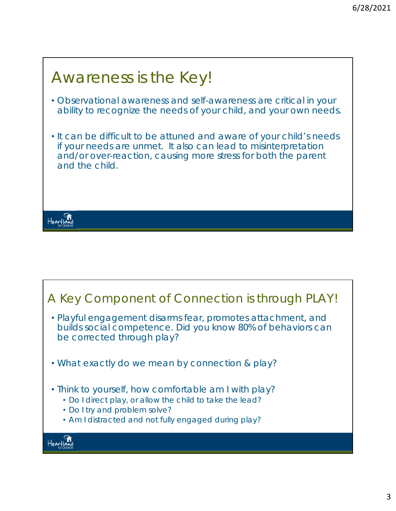## Awareness is the Key! • Observational awareness and self-awareness are critical in your ability to recognize the needs of your child, and your own needs. • It can be difficult to be attuned and aware of your child's needs if your needs are unmet. It also can lead to misinterpretation and/or over-reaction, causing more stress for both the parent and the child. Heartland

#### A Key Component of Connection is through PLAY! • Playful engagement disarms fear, promotes attachment, and builds social competence. Did you know 80% of behaviors can be corrected through play? • What exactly do we mean by connection & play? • Think to yourself, how comfortable am I with play? • Do I direct play, or allow the child to take the lead? • Do I try and problem solve? • Am I distracted and not fully engaged during play? Heartia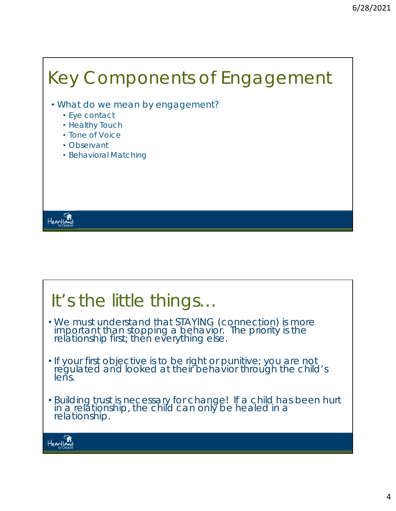## Key Components of Engagement

- What do we mean by *engagement*?
	- Eye contact
	- Healthy Touch
	- Tone of Voice
	- Observant

Heartland

• Behavioral Matching

### It's the little things…

- We must understand that STAYING (connection) is more important than stopping a behavior. The priority is the<br>relationship first; then everything else.
- If your first objective is to be right or punitive; you are not regulated and looked at their behavior through the child's lens.
- Building trust is necessary for change! If a child has been hurt in a relationship, the child can only be healed in a<br>relationship.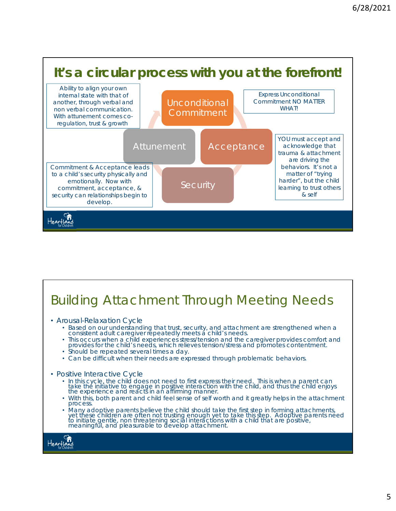

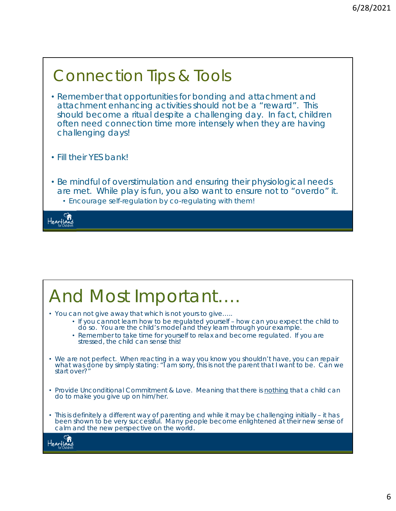# Connection Tips & Tools

- Remember that opportunities for bonding and attachment and attachment enhancing activities should not be a "reward". This should become a ritual despite a challenging day. In fact, children often need connection time more intensely when they are having challenging days!
- Fill their YES bank!
- Be mindful of overstimulation and ensuring their physiological needs are met. While play is fun, you also want to ensure not to "overdo" it. • Encourage self-regulation by co-regulating with them!

Heartiai

## And Most Important….

- You can not give away that which is not yours to give…..
	- If you cannot learn how to be regulated yourself how can you expect the child to do so. You are the child's model and they learn through your example.
	- Remember to take time for yourself to relax and become regulated. If you are stressed, the child can sense this!
- We are not perfect. When reacting in a way you know you shouldn't have, you can repair what was done by simply stating: "I am sorry, this is not the parent that I want to be. Can we start over?"
- Provide Unconditional Commitment & Love. Meaning that there is *nothing* that a child can do to make you give up on him/her.
- This is definitely a different way of parenting and while it may be challenging initially it has been shown to be very successful. Many people become enlightened at their new sense of calm and the new perspective on the world.